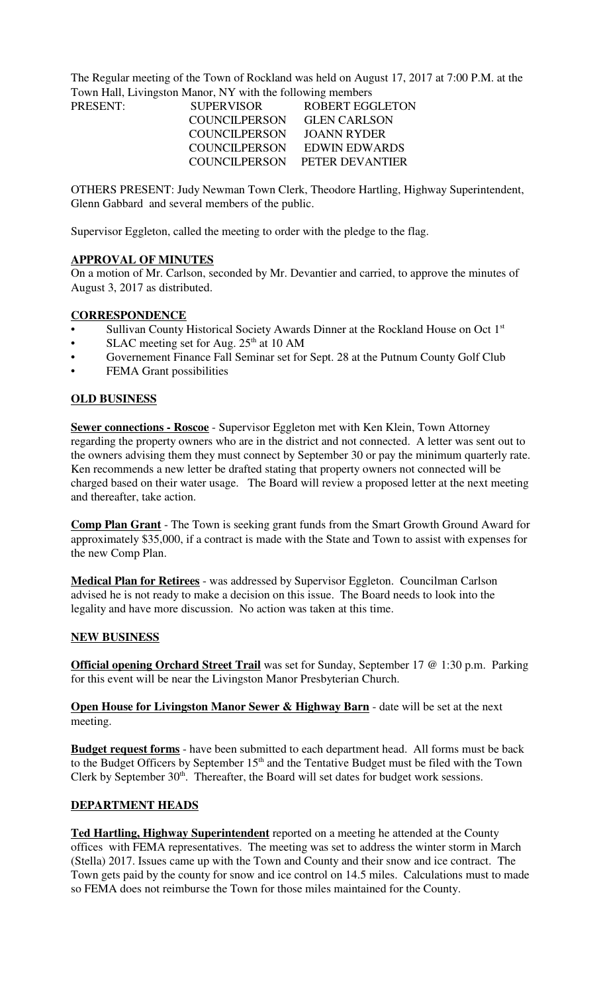The Regular meeting of the Town of Rockland was held on August 17, 2017 at 7:00 P.M. at the Town Hall, Livingston Manor, NY with the following members

| PRESENT: | <b>SUPERVISOR</b>    | <b>ROBERT EGGLETON</b>        |
|----------|----------------------|-------------------------------|
|          | COUNCILPERSON        | <b>GLEN CARLSON</b>           |
|          | <b>COUNCILPERSON</b> | JOANN RYDER                   |
|          | COUNCILPERSON        | EDWIN EDWARDS                 |
|          |                      | COUNCILPERSON PETER DEVANTIER |
|          |                      |                               |

OTHERS PRESENT: Judy Newman Town Clerk, Theodore Hartling, Highway Superintendent, Glenn Gabbard and several members of the public.

Supervisor Eggleton, called the meeting to order with the pledge to the flag.

#### **APPROVAL OF MINUTES**

On a motion of Mr. Carlson, seconded by Mr. Devantier and carried, to approve the minutes of August 3, 2017 as distributed.

## **CORRESPONDENCE**

- Sullivan County Historical Society Awards Dinner at the Rockland House on Oct 1<sup>st</sup>
- SLAC meeting set for Aug.  $25<sup>th</sup>$  at 10 AM
- Governement Finance Fall Seminar set for Sept. 28 at the Putnum County Golf Club
- **FEMA Grant possibilities**

#### **OLD BUSINESS**

**Sewer connections - Roscoe** - Supervisor Eggleton met with Ken Klein, Town Attorney regarding the property owners who are in the district and not connected. A letter was sent out to the owners advising them they must connect by September 30 or pay the minimum quarterly rate. Ken recommends a new letter be drafted stating that property owners not connected will be charged based on their water usage. The Board will review a proposed letter at the next meeting and thereafter, take action.

**Comp Plan Grant** - The Town is seeking grant funds from the Smart Growth Ground Award for approximately \$35,000, if a contract is made with the State and Town to assist with expenses for the new Comp Plan.

**Medical Plan for Retirees** - was addressed by Supervisor Eggleton. Councilman Carlson advised he is not ready to make a decision on this issue. The Board needs to look into the legality and have more discussion. No action was taken at this time.

#### **NEW BUSINESS**

**Official opening Orchard Street Trail** was set for Sunday, September 17 @ 1:30 p.m. Parking for this event will be near the Livingston Manor Presbyterian Church.

**Open House for Livingston Manor Sewer & Highway Barn** - date will be set at the next meeting.

**Budget request forms** - have been submitted to each department head. All forms must be back to the Budget Officers by September  $15<sup>th</sup>$  and the Tentative Budget must be filed with the Town Clerk by September  $30<sup>th</sup>$ . Thereafter, the Board will set dates for budget work sessions.

## **DEPARTMENT HEADS**

**Ted Hartling, Highway Superintendent** reported on a meeting he attended at the County offices with FEMA representatives. The meeting was set to address the winter storm in March (Stella) 2017. Issues came up with the Town and County and their snow and ice contract. The Town gets paid by the county for snow and ice control on 14.5 miles. Calculations must to made so FEMA does not reimburse the Town for those miles maintained for the County.